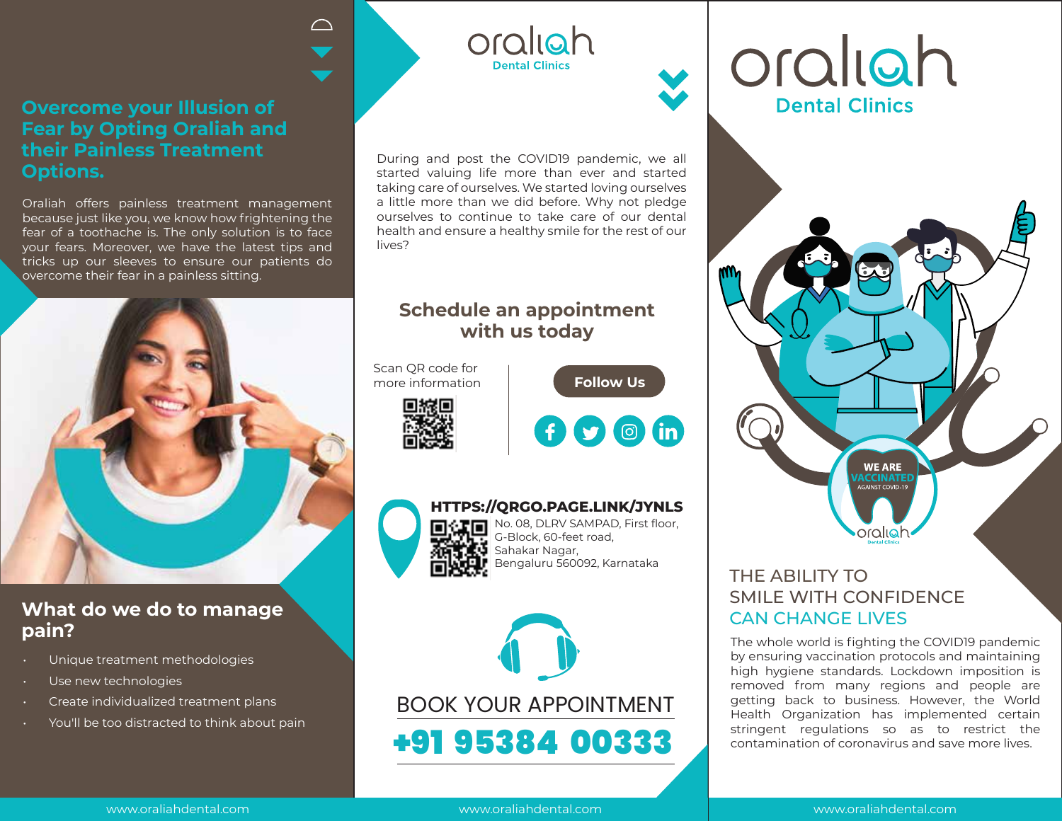### **Overcome your Illusion of Fear by Opting Oraliah and their Painless Treatment Options.**

Oraliah offers painless treatment management because just like you, we know how frightening the fear of a toothache is. The only solution is to face your fears. Moreover, we have the latest tips and tricks up our sleeves to ensure our patients do overcome their fear in a painless sitting.



# **What do we do to manage pain?**

- Unique treatment methodologies
- Use new technologies
- Create individualized treatment plans
- You'll be too distracted to think about pain

During and post the COVID19 pandemic, we all started valuing life more than ever and started taking care of ourselves. We started loving ourselves a little more than we did before. Why not pledge ourselves to continue to take care of our dental health and ensure a healthy smile for the rest of our lives?

oraliah

**Dental Clinics** 

# **Schedule an appointment with us today**

Scan QR code for more information

 $\curvearrowright$ 





**Follow Us** 



No. 08, DLRV SAMPAD, First floor, **HTTPS://QRGO.PAGE.LINK/JYNLS**

G-Block, 60-feet road, Sahakar Nagar, Bengaluru 560092, Karnataka



# oraliah **Dental Clinics**



# THE ABILITY TO SMILE WITH CONFIDENCE CAN CHANGE LIVES

The whole world is fighting the COVID19 pandemic by ensuring vaccination protocols and maintaining high hygiene standards. Lockdown imposition is removed from many regions and people are getting back to business. However, the World Health Organization has implemented certain stringent regulations so as to restrict the contamination of coronavirus and save more lives.